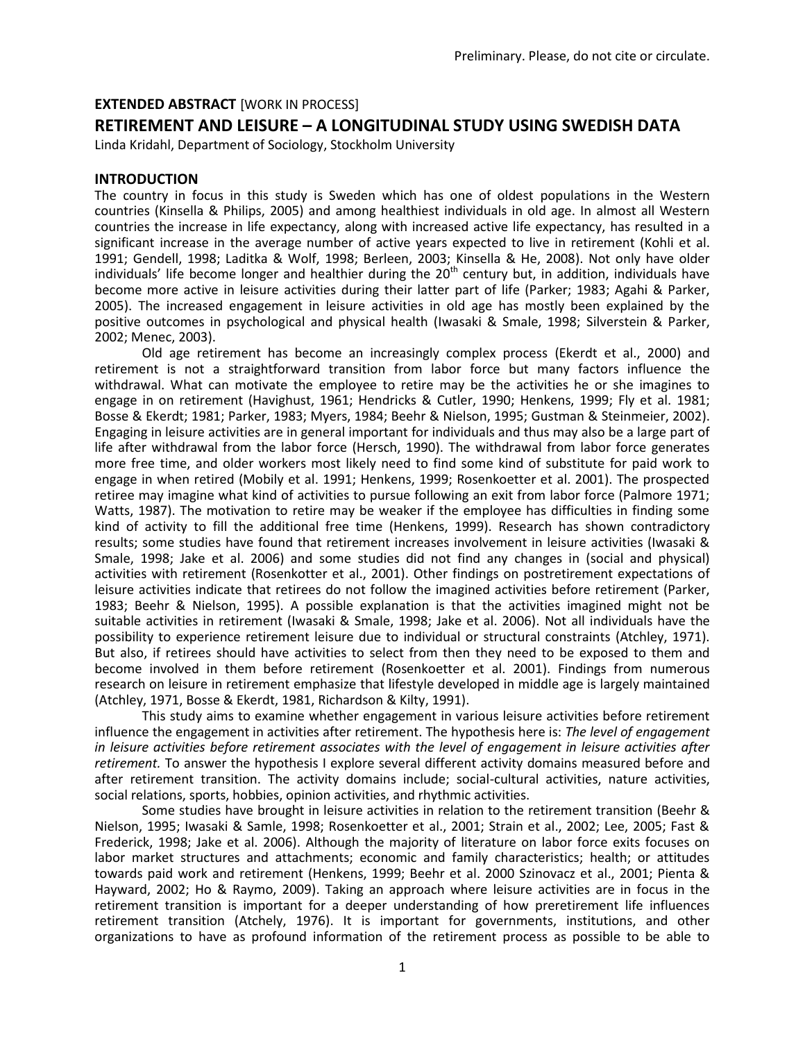## **EXTENDED ABSTRACT** [WORK IN PROCESS]

# **RETIREMENT AND LEISURE – A LONGITUDINAL STUDY USING SWEDISH DATA**

Linda Kridahl, Department of Sociology, Stockholm University

### **INTRODUCTION**

The country in focus in this study is Sweden which has one of oldest populations in the Western countries (Kinsella & Philips, 2005) and among healthiest individuals in old age. In almost all Western countries the increase in life expectancy, along with increased active life expectancy, has resulted in a significant increase in the average number of active years expected to live in retirement (Kohli et al. 1991; Gendell, 1998; Laditka & Wolf, 1998; Berleen, 2003; Kinsella & He, 2008). Not only have older individuals' life become longer and healthier during the  $20<sup>th</sup>$  century but, in addition, individuals have become more active in leisure activities during their latter part of life (Parker; 1983; Agahi & Parker, 2005). The increased engagement in leisure activities in old age has mostly been explained by the positive outcomes in psychological and physical health (Iwasaki & Smale, 1998; Silverstein & Parker, 2002; Menec, 2003).

Old age retirement has become an increasingly complex process (Ekerdt et al., 2000) and retirement is not a straightforward transition from labor force but many factors influence the withdrawal. What can motivate the employee to retire may be the activities he or she imagines to engage in on retirement (Havighust, 1961; Hendricks & Cutler, 1990; Henkens, 1999; Fly et al. 1981; Bosse & Ekerdt; 1981; Parker, 1983; Myers, 1984; Beehr & Nielson, 1995; Gustman & Steinmeier, 2002). Engaging in leisure activities are in general important for individuals and thus may also be a large part of life after withdrawal from the labor force (Hersch, 1990). The withdrawal from labor force generates more free time, and older workers most likely need to find some kind of substitute for paid work to engage in when retired (Mobily et al. 1991; Henkens, 1999; Rosenkoetter et al. 2001). The prospected retiree may imagine what kind of activities to pursue following an exit from labor force (Palmore 1971; Watts, 1987). The motivation to retire may be weaker if the employee has difficulties in finding some kind of activity to fill the additional free time (Henkens, 1999). Research has shown contradictory results; some studies have found that retirement increases involvement in leisure activities (Iwasaki & Smale, 1998; Jake et al. 2006) and some studies did not find any changes in (social and physical) activities with retirement (Rosenkotter et al., 2001). Other findings on postretirement expectations of leisure activities indicate that retirees do not follow the imagined activities before retirement (Parker, 1983; Beehr & Nielson, 1995). A possible explanation is that the activities imagined might not be suitable activities in retirement (Iwasaki & Smale, 1998; Jake et al. 2006). Not all individuals have the possibility to experience retirement leisure due to individual or structural constraints (Atchley, 1971). But also, if retirees should have activities to select from then they need to be exposed to them and become involved in them before retirement (Rosenkoetter et al. 2001). Findings from numerous research on leisure in retirement emphasize that lifestyle developed in middle age is largely maintained (Atchley, 1971, Bosse & Ekerdt, 1981, Richardson & Kilty, 1991).

This study aims to examine whether engagement in various leisure activities before retirement influence the engagement in activities after retirement. The hypothesis here is: *The level of engagement in leisure activities before retirement associates with the level of engagement in leisure activities after retirement.* To answer the hypothesis I explore several different activity domains measured before and after retirement transition. The activity domains include; social-cultural activities, nature activities, social relations, sports, hobbies, opinion activities, and rhythmic activities.

Some studies have brought in leisure activities in relation to the retirement transition (Beehr & Nielson, 1995; Iwasaki & Samle, 1998; Rosenkoetter et al., 2001; Strain et al., 2002; Lee, 2005; Fast & Frederick, 1998; Jake et al. 2006). Although the majority of literature on labor force exits focuses on labor market structures and attachments; economic and family characteristics; health; or attitudes towards paid work and retirement (Henkens, 1999; Beehr et al. 2000 Szinovacz et al., 2001; Pienta & Hayward, 2002; Ho & Raymo, 2009). Taking an approach where leisure activities are in focus in the retirement transition is important for a deeper understanding of how preretirement life influences retirement transition (Atchely, 1976). It is important for governments, institutions, and other organizations to have as profound information of the retirement process as possible to be able to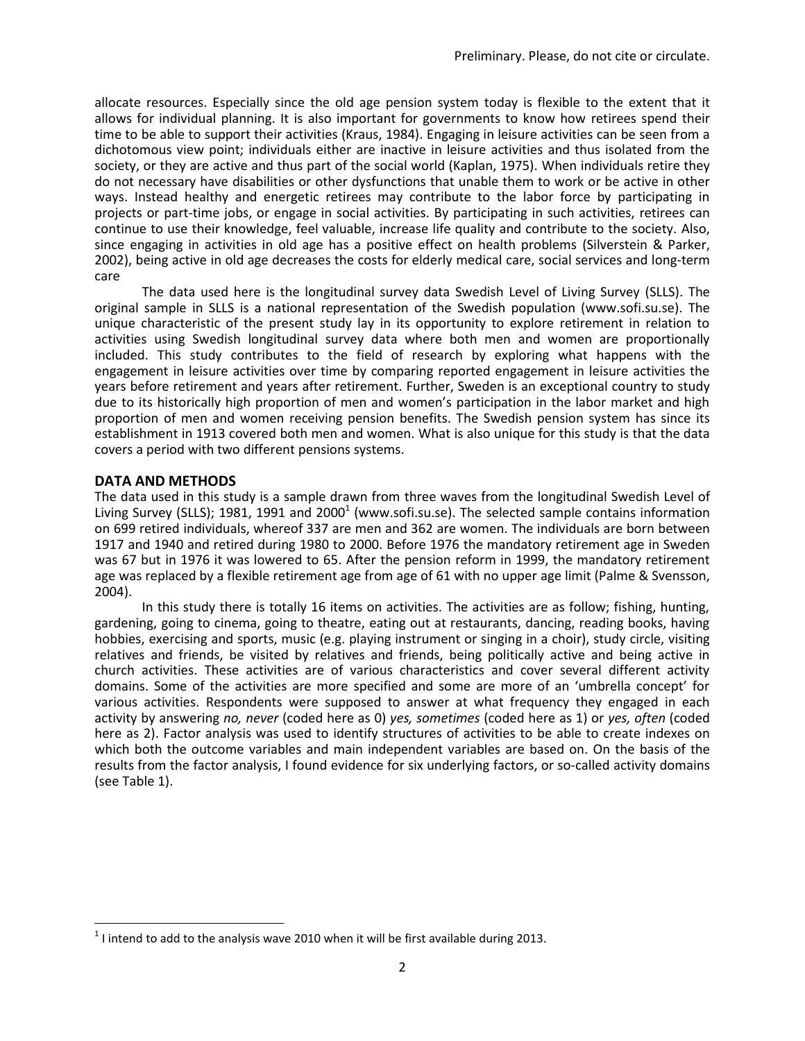allocate resources. Especially since the old age pension system today is flexible to the extent that it allows for individual planning. It is also important for governments to know how retirees spend their time to be able to support their activities (Kraus, 1984). Engaging in leisure activities can be seen from a dichotomous view point; individuals either are inactive in leisure activities and thus isolated from the society, or they are active and thus part of the social world (Kaplan, 1975). When individuals retire they do not necessary have disabilities or other dysfunctions that unable them to work or be active in other ways. Instead healthy and energetic retirees may contribute to the labor force by participating in projects or part-time jobs, or engage in social activities. By participating in such activities, retirees can continue to use their knowledge, feel valuable, increase life quality and contribute to the society. Also, since engaging in activities in old age has a positive effect on health problems (Silverstein & Parker, 2002), being active in old age decreases the costs for elderly medical care, social services and long-term care

The data used here is the longitudinal survey data Swedish Level of Living Survey (SLLS). The original sample in SLLS is a national representation of the Swedish population (www.sofi.su.se). The unique characteristic of the present study lay in its opportunity to explore retirement in relation to activities using Swedish longitudinal survey data where both men and women are proportionally included. This study contributes to the field of research by exploring what happens with the engagement in leisure activities over time by comparing reported engagement in leisure activities the years before retirement and years after retirement. Further, Sweden is an exceptional country to study due to its historically high proportion of men and women's participation in the labor market and high proportion of men and women receiving pension benefits. The Swedish pension system has since its establishment in 1913 covered both men and women. What is also unique for this study is that the data covers a period with two different pensions systems.

## **DATA AND METHODS**

 $\overline{\phantom{a}}$ 

The data used in this study is a sample drawn from three waves from the longitudinal Swedish Level of Living Survey (SLLS); 1981, 1991 and 2000<sup>1</sup> (www.sofi.su.se). The selected sample contains information on 699 retired individuals, whereof 337 are men and 362 are women. The individuals are born between 1917 and 1940 and retired during 1980 to 2000. Before 1976 the mandatory retirement age in Sweden was 67 but in 1976 it was lowered to 65. After the pension reform in 1999, the mandatory retirement age was replaced by a flexible retirement age from age of 61 with no upper age limit (Palme & Svensson, 2004).

In this study there is totally 16 items on activities. The activities are as follow; fishing, hunting, gardening, going to cinema, going to theatre, eating out at restaurants, dancing, reading books, having hobbies, exercising and sports, music (e.g. playing instrument or singing in a choir), study circle, visiting relatives and friends, be visited by relatives and friends, being politically active and being active in church activities. These activities are of various characteristics and cover several different activity domains. Some of the activities are more specified and some are more of an 'umbrella concept' for various activities. Respondents were supposed to answer at what frequency they engaged in each activity by answering *no, never* (coded here as 0) *yes, sometimes* (coded here as 1) or *yes, often* (coded here as 2). Factor analysis was used to identify structures of activities to be able to create indexes on which both the outcome variables and main independent variables are based on. On the basis of the results from the factor analysis, I found evidence for six underlying factors, or so-called activity domains (see Table 1).

 $^1$  I intend to add to the analysis wave 2010 when it will be first available during 2013.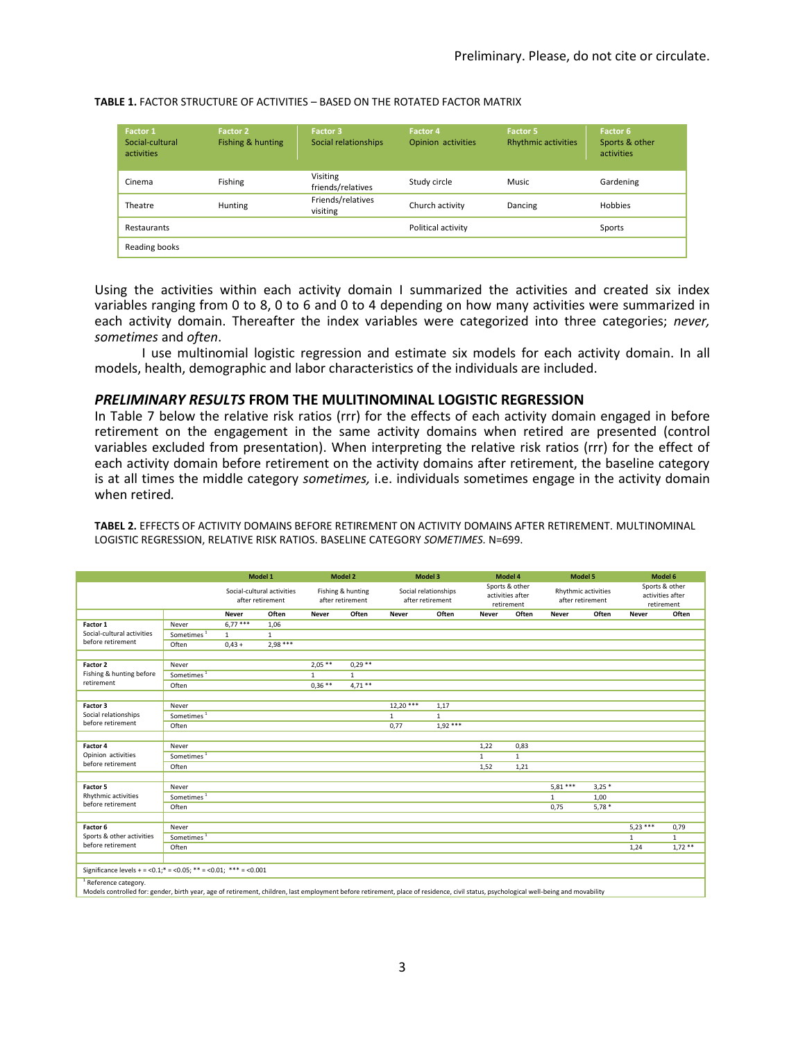| Factor 1<br>Social-cultural<br>activities | Factor 2<br>Fishing & hunting | Factor 3<br>Social relationships              | <b>Factor 4</b><br>Opinion activities | Factor 5<br><b>Rhythmic activities</b> | Factor 6<br>Sports & other<br>activities |  |
|-------------------------------------------|-------------------------------|-----------------------------------------------|---------------------------------------|----------------------------------------|------------------------------------------|--|
| Cinema                                    | Fishing                       | Visiting<br>Study circle<br>friends/relatives |                                       | <b>Music</b>                           | Gardening                                |  |
| Theatre                                   | Hunting                       | Friends/relatives<br>visiting                 | Church activity                       | Dancing                                | <b>Hobbies</b>                           |  |
| Restaurants                               |                               |                                               | Political activity                    |                                        | Sports                                   |  |
| Reading books                             |                               |                                               |                                       |                                        |                                          |  |

#### **TABLE 1.** FACTOR STRUCTURE OF ACTIVITIES – BASED ON THE ROTATED FACTOR MATRIX

Using the activities within each activity domain I summarized the activities and created six index variables ranging from 0 to 8, 0 to 6 and 0 to 4 depending on how many activities were summarized in each activity domain. Thereafter the index variables were categorized into three categories; *never, sometimes* and *often*.

I use multinomial logistic regression and estimate six models for each activity domain. In all models, health, demographic and labor characteristics of the individuals are included.

### *PRELIMINARY RESULTS* **FROM THE MULITINOMINAL LOGISTIC REGRESSION**

In Table 7 below the relative risk ratios (rrr) for the effects of each activity domain engaged in before retirement on the engagement in the same activity domains when retired are presented (control variables excluded from presentation). When interpreting the relative risk ratios (rrr) for the effect of each activity domain before retirement on the activity domains after retirement, the baseline category is at all times the middle category *sometimes,* i.e. individuals sometimes engage in the activity domain when retired*.*

**TABEL 2.** EFFECTS OF ACTIVITY DOMAINS BEFORE RETIREMENT ON ACTIVITY DOMAINS AFTER RETIREMENT. MULTINOMINAL LOGISTIC REGRESSION, RELATIVE RISK RATIOS. BASELINE CATEGORY *SOMETIMES.* N=699.

|                                                                                                                                                                                                             |                        | Model 1                                        |              | Model 2                               |              | Model 3                                  |              | Model 4                                          |              | <b>Model 5</b>                          |         | Model 6                                          |              |
|-------------------------------------------------------------------------------------------------------------------------------------------------------------------------------------------------------------|------------------------|------------------------------------------------|--------------|---------------------------------------|--------------|------------------------------------------|--------------|--------------------------------------------------|--------------|-----------------------------------------|---------|--------------------------------------------------|--------------|
|                                                                                                                                                                                                             |                        | Social-cultural activities<br>after retirement |              | Fishing & hunting<br>after retirement |              | Social relationships<br>after retirement |              | Sports & other<br>activities after<br>retirement |              | Rhythmic activities<br>after retirement |         | Sports & other<br>activities after<br>retirement |              |
|                                                                                                                                                                                                             |                        | <b>Never</b>                                   | Often        | Never                                 | Often        | Never                                    | Often        | Never                                            | Often        | Never                                   | Often   | Never                                            | Often        |
| Factor 1                                                                                                                                                                                                    | Never                  | $6.77***$                                      | 1,06         |                                       |              |                                          |              |                                                  |              |                                         |         |                                                  |              |
| Social-cultural activities<br>before retirement                                                                                                                                                             | Sometimes <sup>1</sup> | $\mathbf{1}$                                   | $\mathbf{1}$ |                                       |              |                                          |              |                                                  |              |                                         |         |                                                  |              |
|                                                                                                                                                                                                             | Often                  | $0,43 +$                                       | $2,98***$    |                                       |              |                                          |              |                                                  |              |                                         |         |                                                  |              |
|                                                                                                                                                                                                             |                        |                                                |              |                                       |              |                                          |              |                                                  |              |                                         |         |                                                  |              |
| Factor 2<br>Fishing & hunting before<br>retirement                                                                                                                                                          | Never                  |                                                |              | $2,05***$                             | $0,29***$    |                                          |              |                                                  |              |                                         |         |                                                  |              |
|                                                                                                                                                                                                             | Sometimes <sup>1</sup> |                                                |              | $\mathbf{1}$                          | $\mathbf{1}$ |                                          |              |                                                  |              |                                         |         |                                                  |              |
|                                                                                                                                                                                                             | Often                  |                                                |              | $0,36$ **                             | $4,71**$     |                                          |              |                                                  |              |                                         |         |                                                  |              |
|                                                                                                                                                                                                             |                        |                                                |              |                                       |              |                                          |              |                                                  |              |                                         |         |                                                  |              |
| Factor 3<br>Social relationships<br>before retirement                                                                                                                                                       | Never                  |                                                |              |                                       |              | $12,20***$                               | 1,17         |                                                  |              |                                         |         |                                                  |              |
|                                                                                                                                                                                                             | Sometimes <sup>1</sup> |                                                |              |                                       |              | $\mathbf{1}$                             | $\mathbf{1}$ |                                                  |              |                                         |         |                                                  |              |
|                                                                                                                                                                                                             | Often                  |                                                |              |                                       |              | 0,77                                     | $1,92***$    |                                                  |              |                                         |         |                                                  |              |
| Factor 4                                                                                                                                                                                                    | Never                  |                                                |              |                                       |              |                                          |              | 1,22                                             | 0,83         |                                         |         |                                                  |              |
| Opinion activities                                                                                                                                                                                          | Sometimes <sup>1</sup> |                                                |              |                                       |              |                                          |              | $\mathbf{1}$                                     | $\mathbf{1}$ |                                         |         |                                                  |              |
| before retirement                                                                                                                                                                                           | Often                  |                                                |              |                                       |              |                                          |              | 1,52                                             | 1,21         |                                         |         |                                                  |              |
|                                                                                                                                                                                                             |                        |                                                |              |                                       |              |                                          |              |                                                  |              |                                         |         |                                                  |              |
| Factor 5<br>Rhythmic activities<br>before retirement                                                                                                                                                        | Never                  |                                                |              |                                       |              |                                          |              |                                                  |              | $5,81***$                               | $3,25*$ |                                                  |              |
|                                                                                                                                                                                                             | Sometimes <sup>1</sup> |                                                |              |                                       |              |                                          |              |                                                  |              | $\mathbf{1}$                            | 1,00    |                                                  |              |
|                                                                                                                                                                                                             | Often                  |                                                |              |                                       |              |                                          |              |                                                  |              | 0,75                                    | $5,78*$ |                                                  |              |
|                                                                                                                                                                                                             |                        |                                                |              |                                       |              |                                          |              |                                                  |              |                                         |         |                                                  |              |
| Factor 6<br>Sports & other activities<br>before retirement                                                                                                                                                  | Never                  |                                                |              |                                       |              |                                          |              |                                                  |              |                                         |         | $5,23***$                                        | 0,79         |
|                                                                                                                                                                                                             | Sometimes <sup>1</sup> |                                                |              |                                       |              |                                          |              |                                                  |              |                                         |         | $\mathbf{1}$                                     | $\mathbf{1}$ |
|                                                                                                                                                                                                             | Often                  |                                                |              |                                       |              |                                          |              |                                                  |              |                                         |         | 1,24                                             | $1,72$ **    |
| Significance levels + = <0.1;* = <0.05; ** = <0.01; *** = <0.001                                                                                                                                            |                        |                                                |              |                                       |              |                                          |              |                                                  |              |                                         |         |                                                  |              |
|                                                                                                                                                                                                             |                        |                                                |              |                                       |              |                                          |              |                                                  |              |                                         |         |                                                  |              |
| Reference category.<br>Models controlled for: gender, birth year, age of retirement, children, last employment before retirement, place of residence, civil status, psychological well-being and movability |                        |                                                |              |                                       |              |                                          |              |                                                  |              |                                         |         |                                                  |              |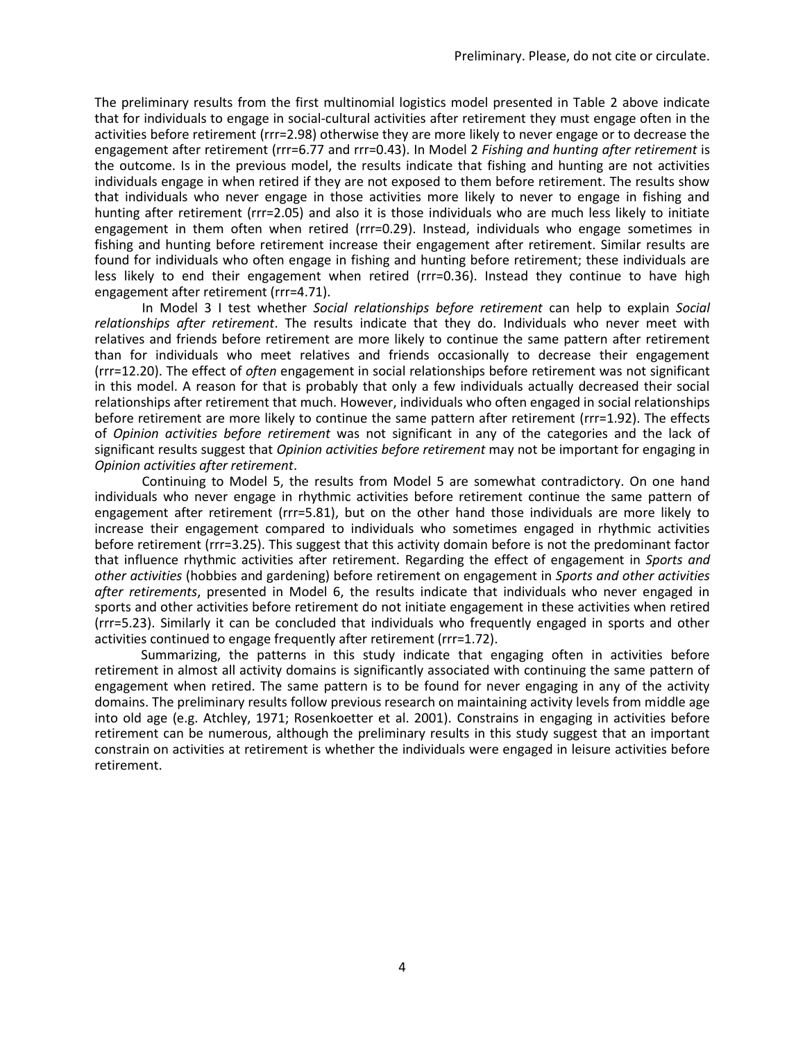The preliminary results from the first multinomial logistics model presented in Table 2 above indicate that for individuals to engage in social-cultural activities after retirement they must engage often in the activities before retirement (rrr=2.98) otherwise they are more likely to never engage or to decrease the engagement after retirement (rrr=6.77 and rrr=0.43). In Model 2 *Fishing and hunting after retirement* is the outcome. Is in the previous model, the results indicate that fishing and hunting are not activities individuals engage in when retired if they are not exposed to them before retirement. The results show that individuals who never engage in those activities more likely to never to engage in fishing and hunting after retirement (rrr=2.05) and also it is those individuals who are much less likely to initiate engagement in them often when retired (rrr=0.29). Instead, individuals who engage sometimes in fishing and hunting before retirement increase their engagement after retirement. Similar results are found for individuals who often engage in fishing and hunting before retirement; these individuals are less likely to end their engagement when retired (rrr=0.36). Instead they continue to have high engagement after retirement (rrr=4.71).

In Model 3 I test whether *Social relationships before retirement* can help to explain *Social relationships after retirement*. The results indicate that they do. Individuals who never meet with relatives and friends before retirement are more likely to continue the same pattern after retirement than for individuals who meet relatives and friends occasionally to decrease their engagement (rrr=12.20). The effect of *often* engagement in social relationships before retirement was not significant in this model. A reason for that is probably that only a few individuals actually decreased their social relationships after retirement that much. However, individuals who often engaged in social relationships before retirement are more likely to continue the same pattern after retirement (rrr=1.92). The effects of *Opinion activities before retirement* was not significant in any of the categories and the lack of significant results suggest that *Opinion activities before retirement* may not be important for engaging in *Opinion activities after retirement*.

Continuing to Model 5, the results from Model 5 are somewhat contradictory. On one hand individuals who never engage in rhythmic activities before retirement continue the same pattern of engagement after retirement (rrr=5.81), but on the other hand those individuals are more likely to increase their engagement compared to individuals who sometimes engaged in rhythmic activities before retirement (rrr=3.25). This suggest that this activity domain before is not the predominant factor that influence rhythmic activities after retirement. Regarding the effect of engagement in *Sports and other activities* (hobbies and gardening) before retirement on engagement in *Sports and other activities after retirements*, presented in Model 6, the results indicate that individuals who never engaged in sports and other activities before retirement do not initiate engagement in these activities when retired (rrr=5.23). Similarly it can be concluded that individuals who frequently engaged in sports and other activities continued to engage frequently after retirement (rrr=1.72).

Summarizing, the patterns in this study indicate that engaging often in activities before retirement in almost all activity domains is significantly associated with continuing the same pattern of engagement when retired. The same pattern is to be found for never engaging in any of the activity domains. The preliminary results follow previous research on maintaining activity levels from middle age into old age (e.g. Atchley, 1971; Rosenkoetter et al. 2001). Constrains in engaging in activities before retirement can be numerous, although the preliminary results in this study suggest that an important constrain on activities at retirement is whether the individuals were engaged in leisure activities before retirement.